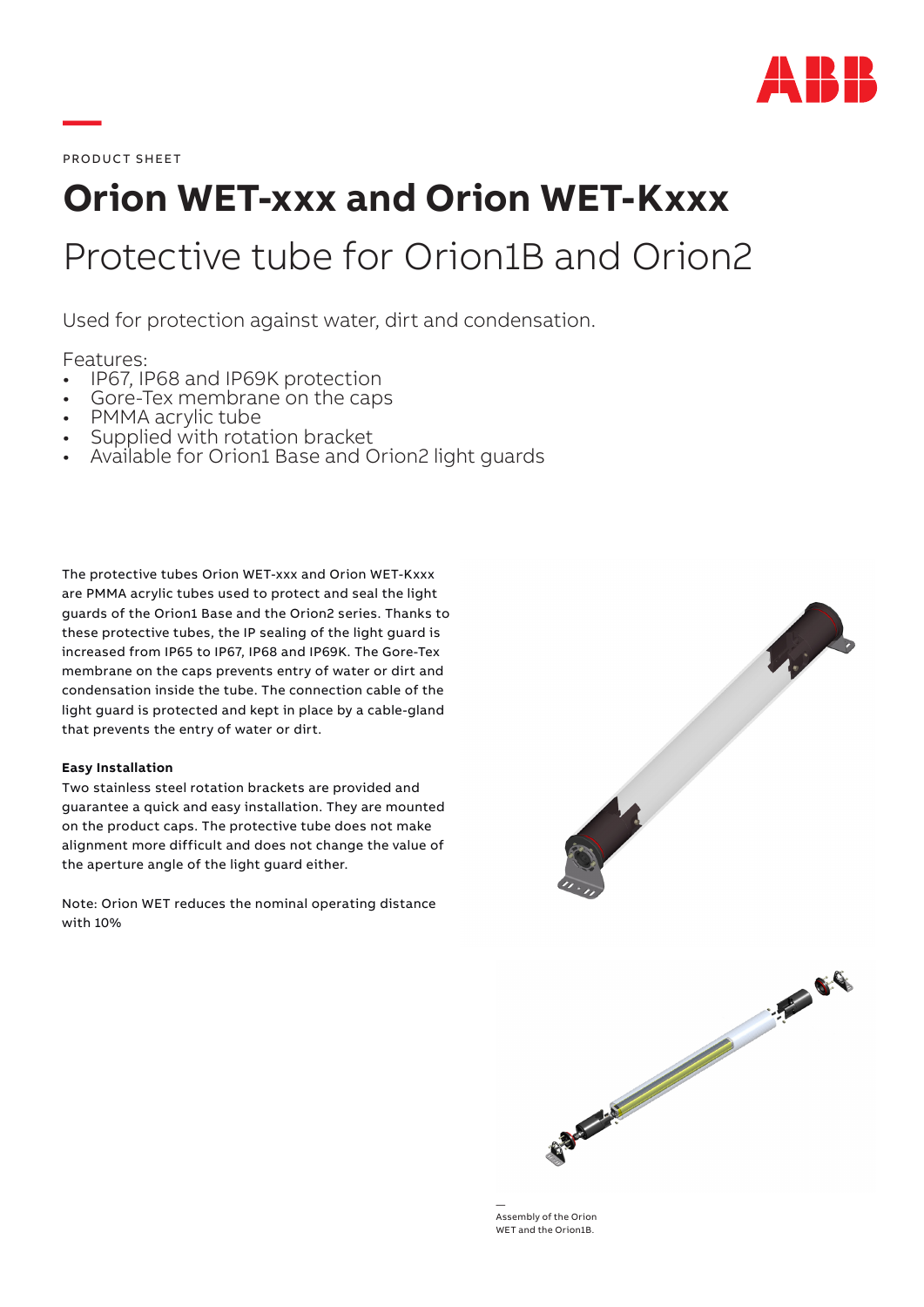

PRODUCT SHEET

**—**

# **Orion WET-xxx and Orion WET-Kxxx** Protective tube for Orion1B and Orion2

Used for protection against water, dirt and condensation.

- Features:<br>• IP67, IP68 and IP69K protection
- 
- 
- 
- Gore-Tex membrane on the caps<br>• PMMA acrylic tube<br>• Supplied with rotation bracket<br>• Available for Orion1 Base and Orion2 light guards

The protective tubes Orion WET-xxx and Orion WET-Kxxx are PMMA acrylic tubes used to protect and seal the light guards of the Orion1 Base and the Orion2 series. Thanks to these protective tubes, the IP sealing of the light guard is increased from IP65 to IP67, IP68 and IP69K. The Gore-Tex membrane on the caps prevents entry of water or dirt and condensation inside the tube. The connection cable of the light guard is protected and kept in place by a cable-gland that prevents the entry of water or dirt.

### **Easy Installation**

Two stainless steel rotation brackets are provided and guarantee a quick and easy installation. They are mounted on the product caps. The protective tube does not make alignment more difficult and does not change the value of the aperture angle of the light guard either.

Note: Orion WET reduces the nominal operating distance with 10%



— Assembly of the Orion WET and the Orion1B.